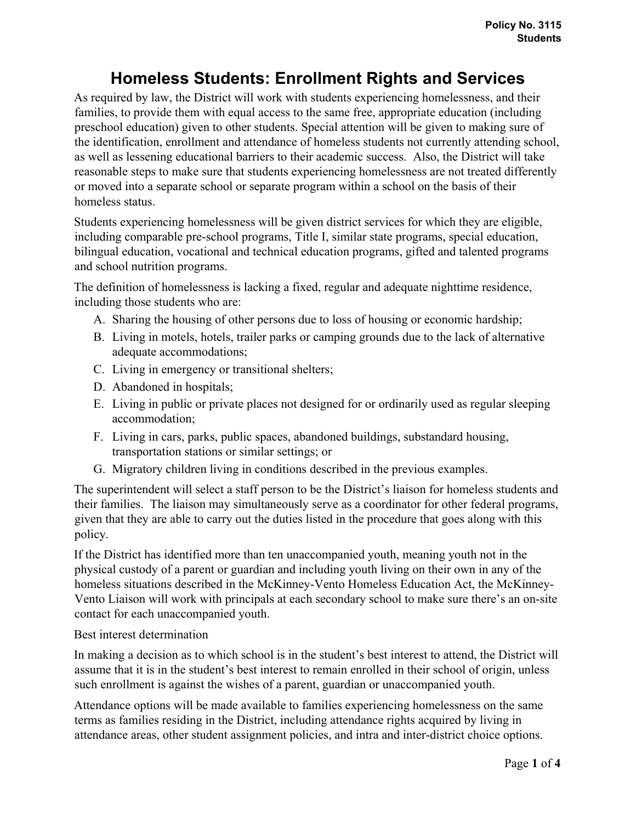## **Homeless Students: Enrollment Rights and Services**

As required by law, the District will work with students experiencing homelessness, and their families, to provide them with equal access to the same free, appropriate education (including preschool education) given to other students. Special attention will be given to making sure of the identification, enrollment and attendance of homeless students not currently attending school, as well as lessening educational barriers to their academic success. Also, the District will take reasonable steps to make sure that students experiencing homelessness are not treated differently or moved into a separate school or separate program within a school on the basis of their homeless status.

Students experiencing homelessness will be given district services for which they are eligible, including comparable pre-school programs, Title I, similar state programs, special education, bilingual education, vocational and technical education programs, gifted and talented programs and school nutrition programs.

The definition of homelessness is lacking a fixed, regular and adequate nighttime residence, including those students who are:

- A. Sharing the housing of other persons due to loss of housing or economic hardship;
- B. Living in motels, hotels, trailer parks or camping grounds due to the lack of alternative adequate accommodations;
- C. Living in emergency or transitional shelters;
- D. Abandoned in hospitals;
- E. Living in public or private places not designed for or ordinarily used as regular sleeping accommodation;
- F. Living in cars, parks, public spaces, abandoned buildings, substandard housing, transportation stations or similar settings; or
- G. Migratory children living in conditions described in the previous examples.

The superintendent will select a staff person to be the District's liaison for homeless students and their families. The liaison may simultaneously serve as a coordinator for other federal programs, given that they are able to carry out the duties listed in the procedure that goes along with this policy.

If the District has identified more than ten unaccompanied youth, meaning youth not in the physical custody of a parent or guardian and including youth living on their own in any of the homeless situations described in the McKinney-Vento Homeless Education Act, the McKinney-Vento Liaison will work with principals at each secondary school to make sure there's an on-site contact for each unaccompanied youth.

Best interest determination

In making a decision as to which school is in the student's best interest to attend, the District will assume that it is in the student's best interest to remain enrolled in their school of origin, unless such enrollment is against the wishes of a parent, guardian or unaccompanied youth.

Attendance options will be made available to families experiencing homelessness on the same terms as families residing in the District, including attendance rights acquired by living in attendance areas, other student assignment policies, and intra and inter-district choice options.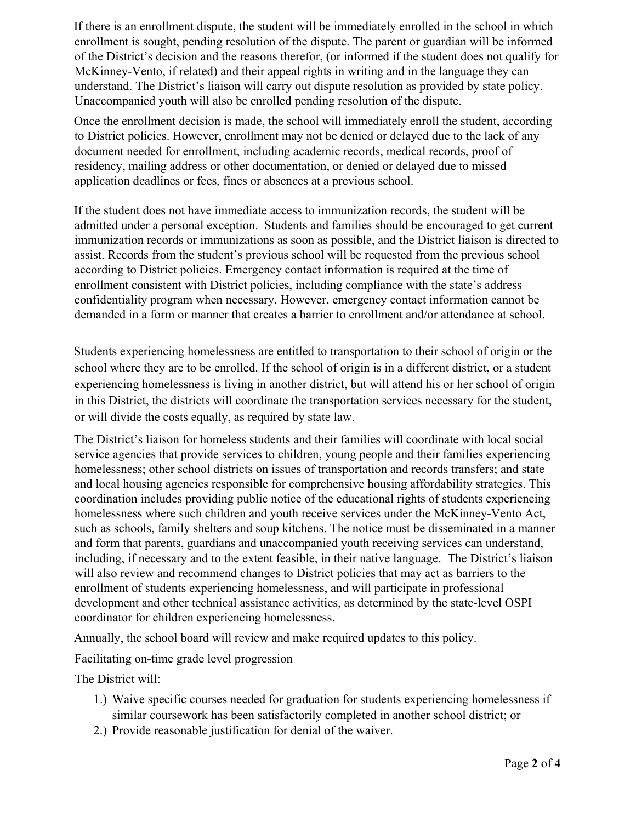If there is an enrollment dispute, the student will be immediately enrolled in the school in which enrollment is sought, pending resolution of the dispute. The parent or guardian will be informed of the District's decision and the reasons therefor, (or informed if the student does not qualify for McKinney-Vento, if related) and their appeal rights in writing and in the language they can understand. The District's liaison will carry out dispute resolution as provided by state policy. Unaccompanied youth will also be enrolled pending resolution of the dispute.

Once the enrollment decision is made, the school will immediately enroll the student, according to District policies. However, enrollment may not be denied or delayed due to the lack of any document needed for enrollment, including academic records, medical records, proof of residency, mailing address or other documentation, or denied or delayed due to missed application deadlines or fees, fines or absences at a previous school.

If the student does not have immediate access to immunization records, the student will be admitted under a personal exception. Students and families should be encouraged to get current immunization records or immunizations as soon as possible, and the District liaison is directed to assist. Records from the student's previous school will be requested from the previous school according to District policies. Emergency contact information is required at the time of enrollment consistent with District policies, including compliance with the state's address confidentiality program when necessary. However, emergency contact information cannot be demanded in a form or manner that creates a barrier to enrollment and/or attendance at school.

Students experiencing homelessness are entitled to transportation to their school of origin or the school where they are to be enrolled. If the school of origin is in a different district, or a student experiencing homelessness is living in another district, but will attend his or her school of origin in this District, the districts will coordinate the transportation services necessary for the student, or will divide the costs equally, as required by state law.

The District's liaison for homeless students and their families will coordinate with local social service agencies that provide services to children, young people and their families experiencing homelessness; other school districts on issues of transportation and records transfers; and state and local housing agencies responsible for comprehensive housing affordability strategies. This coordination includes providing public notice of the educational rights of students experiencing homelessness where such children and youth receive services under the McKinney-Vento Act, such as schools, family shelters and soup kitchens. The notice must be disseminated in a manner and form that parents, guardians and unaccompanied youth receiving services can understand, including, if necessary and to the extent feasible, in their native language. The District's liaison will also review and recommend changes to District policies that may act as barriers to the enrollment of students experiencing homelessness, and will participate in professional development and other technical assistance activities, as determined by the state-level OSPI coordinator for children experiencing homelessness.

Annually, the school board will review and make required updates to this policy.

Facilitating on-time grade level progression

The District will:

- 1.) Waive specific courses needed for graduation for students experiencing homelessness if similar coursework has been satisfactorily completed in another school district; or
- 2.) Provide reasonable justification for denial of the waiver.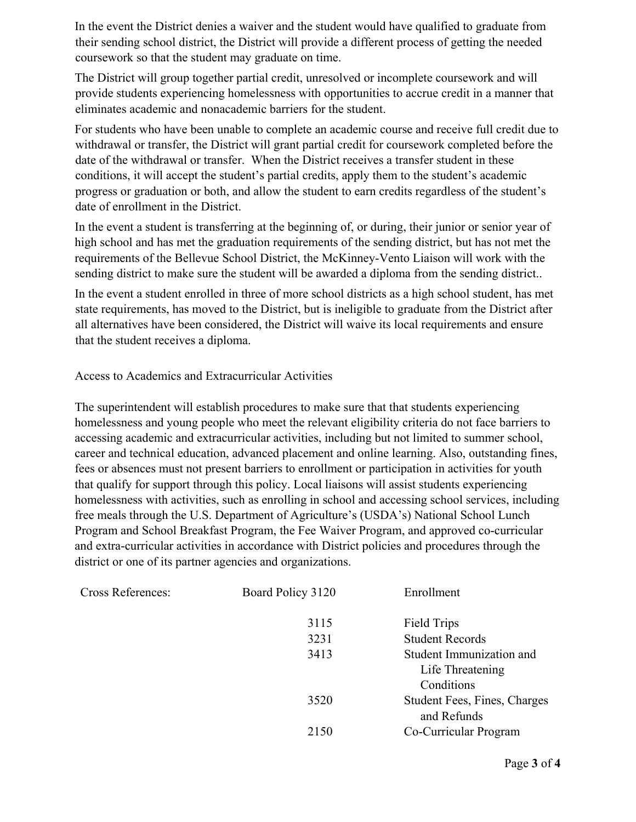In the event the District denies a waiver and the student would have qualified to graduate from their sending school district, the District will provide a different process of getting the needed coursework so that the student may graduate on time.

The District will group together partial credit, unresolved or incomplete coursework and will provide students experiencing homelessness with opportunities to accrue credit in a manner that eliminates academic and nonacademic barriers for the student.

For students who have been unable to complete an academic course and receive full credit due to withdrawal or transfer, the District will grant partial credit for coursework completed before the date of the withdrawal or transfer. When the District receives a transfer student in these conditions, it will accept the student's partial credits, apply them to the student's academic progress or graduation or both, and allow the student to earn credits regardless of the student's date of enrollment in the District.

In the event a student is transferring at the beginning of, or during, their junior or senior year of high school and has met the graduation requirements of the sending district, but has not met the requirements of the Bellevue School District, the McKinney-Vento Liaison will work with the sending district to make sure the student will be awarded a diploma from the sending district..

In the event a student enrolled in three of more school districts as a high school student, has met state requirements, has moved to the District, but is ineligible to graduate from the District after all alternatives have been considered, the District will waive its local requirements and ensure that the student receives a diploma.

Access to Academics and Extracurricular Activities

The superintendent will establish procedures to make sure that that students experiencing homelessness and young people who meet the relevant eligibility criteria do not face barriers to accessing academic and extracurricular activities, including but not limited to summer school, career and technical education, advanced placement and online learning. Also, outstanding fines, fees or absences must not present barriers to enrollment or participation in activities for youth that qualify for support through this policy. Local liaisons will assist students experiencing homelessness with activities, such as enrolling in school and accessing school services, including free meals through the U.S. Department of Agriculture's (USDA's) National School Lunch Program and School Breakfast Program, the Fee Waiver Program, and approved co-curricular and extra-curricular activities in accordance with District policies and procedures through the district or one of its partner agencies and organizations.

| <b>Cross References:</b> | Board Policy 3120 | Enrollment                                         |
|--------------------------|-------------------|----------------------------------------------------|
|                          | 3115              | Field Trips                                        |
|                          | 3231              | <b>Student Records</b>                             |
|                          | 3413              | Student Immunization and                           |
|                          |                   | Life Threatening                                   |
|                          |                   | Conditions                                         |
|                          | 3520              | <b>Student Fees, Fines, Charges</b><br>and Refunds |
|                          | 2150              | Co-Curricular Program                              |